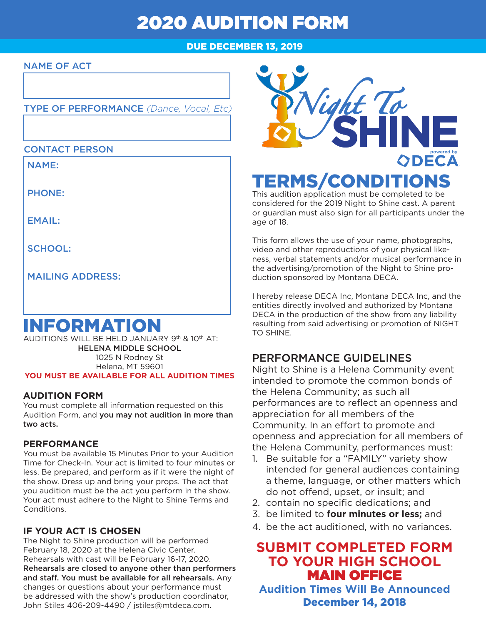# 2020 AUDITION FORM

### DUE DECEMBER 13, 2019

#### NAME OF ACT

#### TYPE OF PERFORMANCE *(Dance, Vocal, Etc)*

#### CONTACT PERSON

NAME:

PHONE:

EMAIL:

SCHOOL:

MAILING ADDRESS:

## INFORMATION

AUDITIONS WILL BE HELD JANUARY 9th & 10th AT: HELENA MIDDLE SCHOOL 1025 N Rodney St Helena, MT 59601 **YOU MUST BE AVAILABLE FOR ALL AUDITION TIMES**

#### **AUDITION FORM**

You must complete all information requested on this Audition Form, and you may not audition in more than two acts.

#### **PERFORMANCE**

You must be available 15 Minutes Prior to your Audition Time for Check-In. Your act is limited to four minutes or less. Be prepared, and perform as if it were the night of the show. Dress up and bring your props. The act that you audition must be the act you perform in the show. Your act must adhere to the Night to Shine Terms and Conditions.

#### **IF YOUR ACT IS CHOSEN**

The Night to Shine production will be performed February 18, 2020 at the Helena Civic Center. Rehearsals with cast will be February 16-17, 2020. Rehearsals are closed to anyone other than performers and staff. You must be available for all rehearsals. Any changes or questions about your performance must be addressed with the show's production coordinator, John Stiles 406-209-4490 / jstiles@mtdeca.com.



This audition application must be completed to be considered for the 2019 Night to Shine cast. A parent or guardian must also sign for all participants under the age of 18.

This form allows the use of your name, photographs, video and other reproductions of your physical likeness, verbal statements and/or musical performance in the advertising/promotion of the Night to Shine production sponsored by Montana DECA.

I hereby release DECA Inc, Montana DECA Inc, and the entities directly involved and authorized by Montana DECA in the production of the show from any liability resulting from said advertising or promotion of NIGHT TO SHINE.

## PERFORMANCE GUIDELINES

Night to Shine is a Helena Community event intended to promote the common bonds of the Helena Community; as such all performances are to reflect an openness and appreciation for all members of the Community. In an effort to promote and openness and appreciation for all members of the Helena Community, performances must:

- 1. Be suitable for a "FAMILY" variety show intended for general audiences containing a theme, language, or other matters which do not offend, upset, or insult; and
- 2. contain no specific dedications; and
- 3. be limited to **four minutes or less;** and
- 4. be the act auditioned, with no variances.

## **SUBMIT COMPLETED FORM TO YOUR HIGH SCHOOL**  MAIN OFFICE

**Audition Times Will Be Announced** December 14, 2018